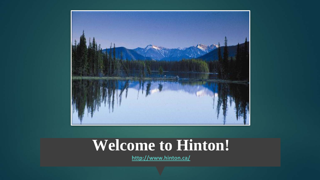

### **Welcome to Hinton!**

**<http://www.hinton.ca/>**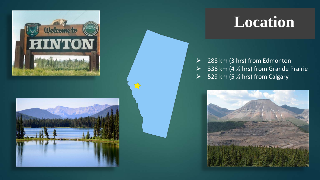



 $\sum$ 

### **Location**

 $\geq$  288 km (3 hrs) from Edmonton  $\geq$  336 km (4  $\frac{1}{2}$  hrs) from Grande Prairie  $\triangleright$  529 km (5  $\frac{1}{2}$  hrs) from Calgary

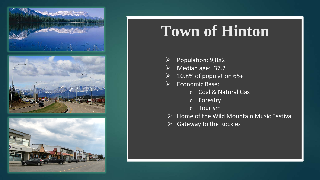

## **Town of Hinton**

- $\triangleright$  Population: 9,882
- $\triangleright$  Median age: 37.2
- $\geq$  10.8% of population 65+
- $\triangleright$  Economic Base:
	- o Coal & Natural Gas
	- o Forestry
	- o Tourism
- $\triangleright$  Home of the Wild Mountain Music Festival
- $\triangleright$  Gateway to the Rockies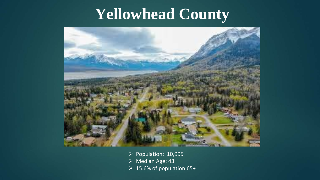### **Yellowhead County**



- $\triangleright$  Population: 10,995
- Median Age: 43
- $\geq 15.6\%$  of population 65+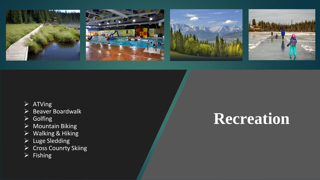







#### $\triangleright$  ATVing

- $\triangleright$  Beaver Boardwalk
- $\triangleright$  Golfing
- $\triangleright$  Mountain Biking
- $\triangleright$  Walking & Hiking
- $\triangleright$  Luge Sledding
- ▶ Cross Counrty Skiing
- $\triangleright$  Fishing

## **Recreation**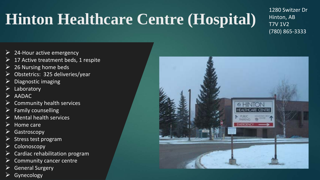# **Hinton Healthcare Centre (Hospital)**

1280 Switzer Dr Hinton, AB T7V 1V2 (780) 865-3333

- $\triangleright$  24-Hour active emergency
- $\triangleright$  17 Active treatment beds, 1 respite
- $\geq$  26 Nursing home beds
- $\triangleright$  Obstetrics: 325 deliveries/year
- $\triangleright$  Diagnostic imaging
- $\triangleright$  Laboratory
- $\triangleright$  AADAC
- $\triangleright$  Community health services
- $\triangleright$  Family counselling
- $\triangleright$  Mental health services
- $\triangleright$  Home care
- $\triangleright$  Gastroscopy
- $\triangleright$  Stress test program
- $\triangleright$  Colonoscopy
- $\triangleright$  Cardiac rehabilitation program
- $\triangleright$  Community cancer centre
- General Surgery
- $\triangleright$  Gynecology

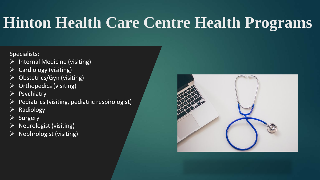## **Hinton Health Care Centre Health Programs**

#### Specialists:

- $\triangleright$  Internal Medicine (visiting)
- Cardiology (visiting)
- Obstetrics/Gyn (visiting)
- Orthopedics (visiting)
- **Psychiatry**
- Pediatrics (visiting, pediatric respirologist)
- Radiology
- **Surgery**
- Neurologist (visiting)
- Nephrologist (visiting)